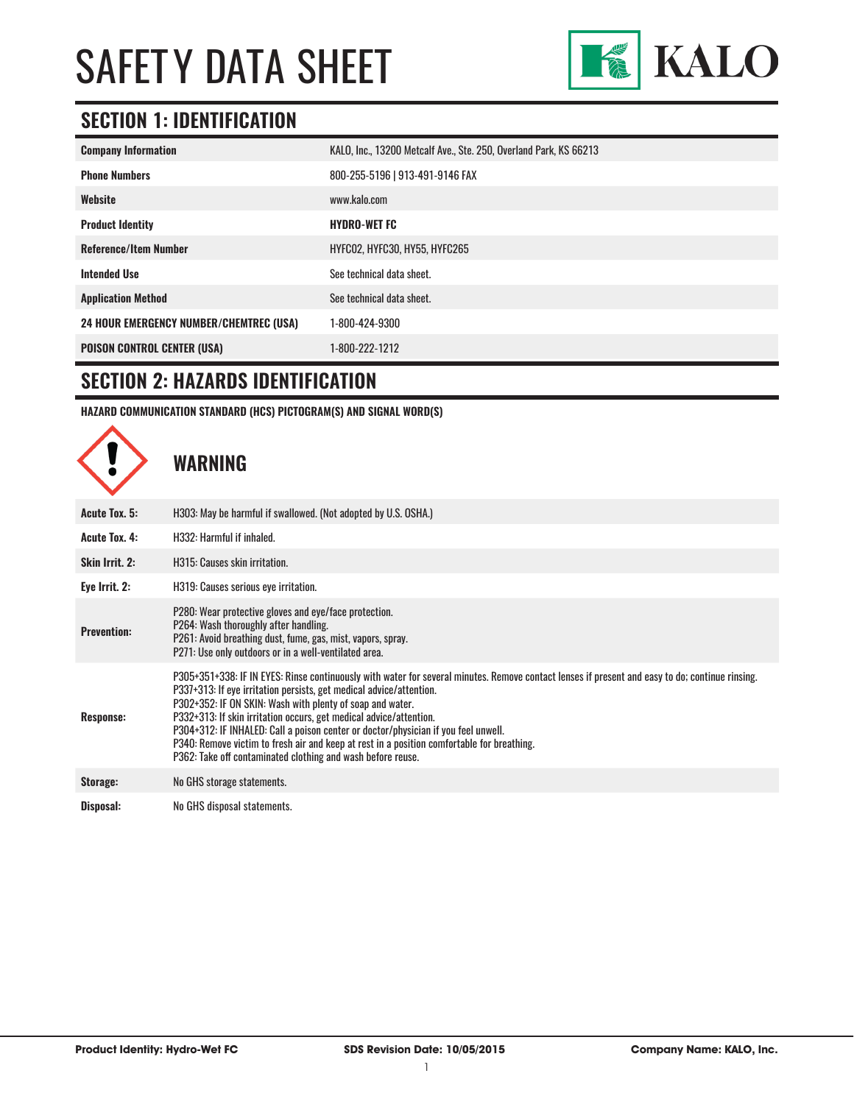

### **SECTION 1: IDENTIFICATION**

| <b>Company Information</b>                     | KALO, Inc., 13200 Metcalf Ave., Ste. 250, Overland Park, KS 66213 |
|------------------------------------------------|-------------------------------------------------------------------|
| <b>Phone Numbers</b>                           | 800-255-5196   913-491-9146 FAX                                   |
| Website                                        | www.kalo.com                                                      |
| <b>Product Identity</b>                        | <b>HYDRO-WET FC</b>                                               |
| <b>Reference/Item Number</b>                   | HYFCO2, HYFC30, HY55, HYFC265                                     |
| <b>Intended Use</b>                            | See technical data sheet.                                         |
| <b>Application Method</b>                      | See technical data sheet.                                         |
| <b>24 HOUR EMERGENCY NUMBER/CHEMTREC (USA)</b> | 1-800-424-9300                                                    |
| <b>POISON CONTROL CENTER (USA)</b>             | 1-800-222-1212                                                    |

#### **SECTION 2: HAZARDS IDENTIFICATION**

**HAZARD COMMUNICATION STANDARD (HCS) PICTOGRAM(S) AND SIGNAL WORD(S)**

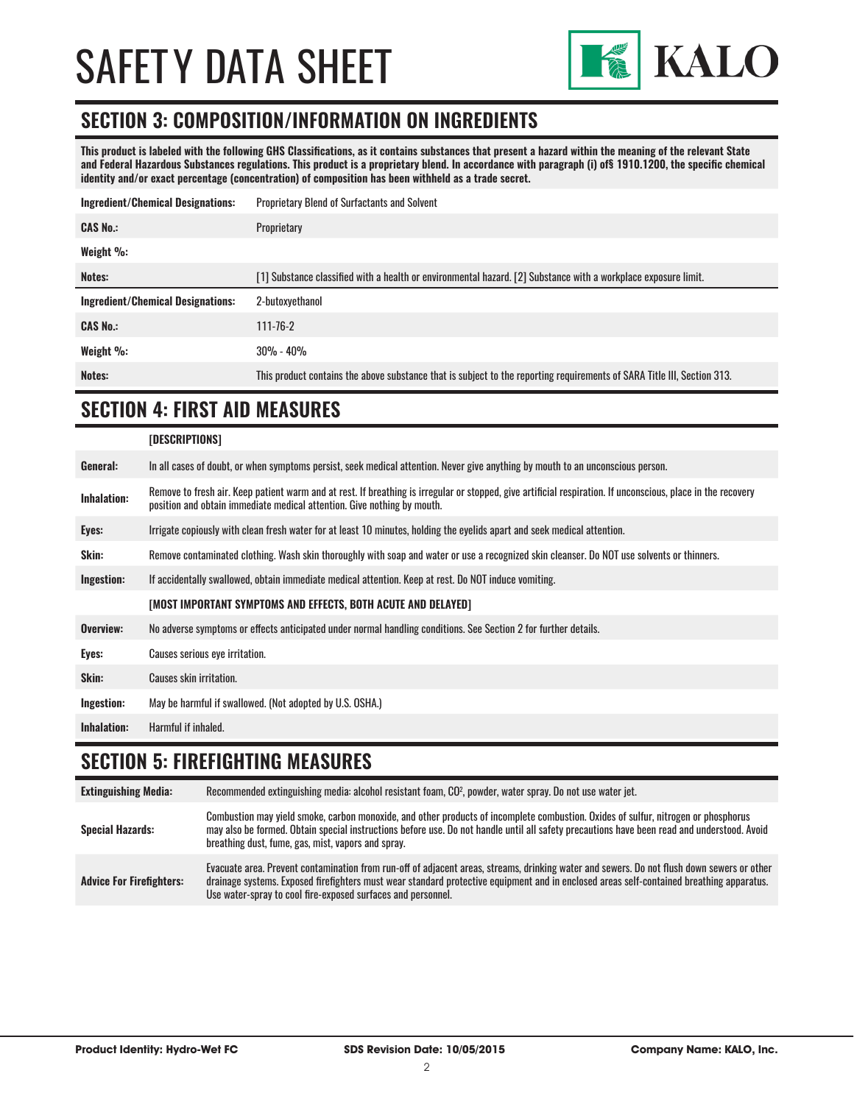

#### **SECTION 3: COMPOSITION/INFORMATION ON INGREDIENTS**

**This product is labeled with the following GHS Classifications, as it contains substances that present a hazard within the meaning of the relevant State and Federal Hazardous Substances regulations. This product is a proprietary blend. In accordance with paragraph (i) of§ 1910.1200, the specific chemical identity and/or exact percentage (concentration) of composition has been withheld as a trade secret.**

| Ingredient/Chemical Designations: | <b>Proprietary Blend of Surfactants and Solvent</b>                                                            |  |
|-----------------------------------|----------------------------------------------------------------------------------------------------------------|--|
| <b>CAS No.:</b>                   | Proprietary                                                                                                    |  |
| Weight %:                         |                                                                                                                |  |
| Notes:                            | [1] Substance classified with a health or environmental hazard. [2] Substance with a workplace exposure limit. |  |
|                                   |                                                                                                                |  |
| Ingredient/Chemical Designations: | 2-butoxvethanol                                                                                                |  |
| <b>CAS No.:</b>                   | $111 - 76 - 2$                                                                                                 |  |
| Weight %:                         | $30\% - 40\%$                                                                                                  |  |

### **SECTION 4: FIRST AID MEASURES**

|                    | [DESCRIPTIONS]                                                                                                                                                                                                                          |
|--------------------|-----------------------------------------------------------------------------------------------------------------------------------------------------------------------------------------------------------------------------------------|
| General:           | In all cases of doubt, or when symptoms persist, seek medical attention. Never give anything by mouth to an unconscious person.                                                                                                         |
| <b>Inhalation:</b> | Remove to fresh air. Keep patient warm and at rest. If breathing is irregular or stopped, give artificial respiration. If unconscious, place in the recovery<br>position and obtain immediate medical attention. Give nothing by mouth. |
| Eyes:              | Irrigate copiously with clean fresh water for at least 10 minutes, holding the eyelids apart and seek medical attention.                                                                                                                |
| Skin:              | Remove contaminated clothing. Wash skin thoroughly with soap and water or use a recognized skin cleanser. Do NOT use solvents or thinners.                                                                                              |
| Ingestion:         | If accidentally swallowed, obtain immediate medical attention. Keep at rest. Do NOT induce vomiting.                                                                                                                                    |
|                    | [MOST IMPORTANT SYMPTOMS AND EFFECTS, BOTH ACUTE AND DELAYED]                                                                                                                                                                           |
| Overview:          | No adverse symptoms or effects anticipated under normal handling conditions. See Section 2 for further details.                                                                                                                         |
| Eyes:              | Causes serious eye irritation.                                                                                                                                                                                                          |
| Skin:              | Causes skin irritation.                                                                                                                                                                                                                 |
| Ingestion:         | May be harmful if swallowed. (Not adopted by U.S. OSHA.)                                                                                                                                                                                |
| <b>Inhalation:</b> | Harmful if inhaled.                                                                                                                                                                                                                     |

#### **SECTION 5: FIREFIGHTING MEASURES**

| <b>Extinguishing Media:</b>     | Recommended extinguishing media: alcohol resistant foam, CO <sup>2</sup> , powder, water spray. Do not use water jet.                                                                                                                                                                                                                                  |
|---------------------------------|--------------------------------------------------------------------------------------------------------------------------------------------------------------------------------------------------------------------------------------------------------------------------------------------------------------------------------------------------------|
| <b>Special Hazards:</b>         | Combustion may yield smoke, carbon monoxide, and other products of incomplete combustion. Oxides of sulfur, nitrogen or phosphorus<br>may also be formed. Obtain special instructions before use. Do not handle until all safety precautions have been read and understood. Avoid<br>breathing dust, fume, gas, mist, vapors and spray.                |
| <b>Advice For Firefighters:</b> | Evacuate area. Prevent contamination from run-off of adjacent areas, streams, drinking water and sewers. Do not flush down sewers or other<br>drainage systems. Exposed firefighters must wear standard protective equipment and in enclosed areas self-contained breathing apparatus.<br>Use water-spray to cool fire-exposed surfaces and personnel. |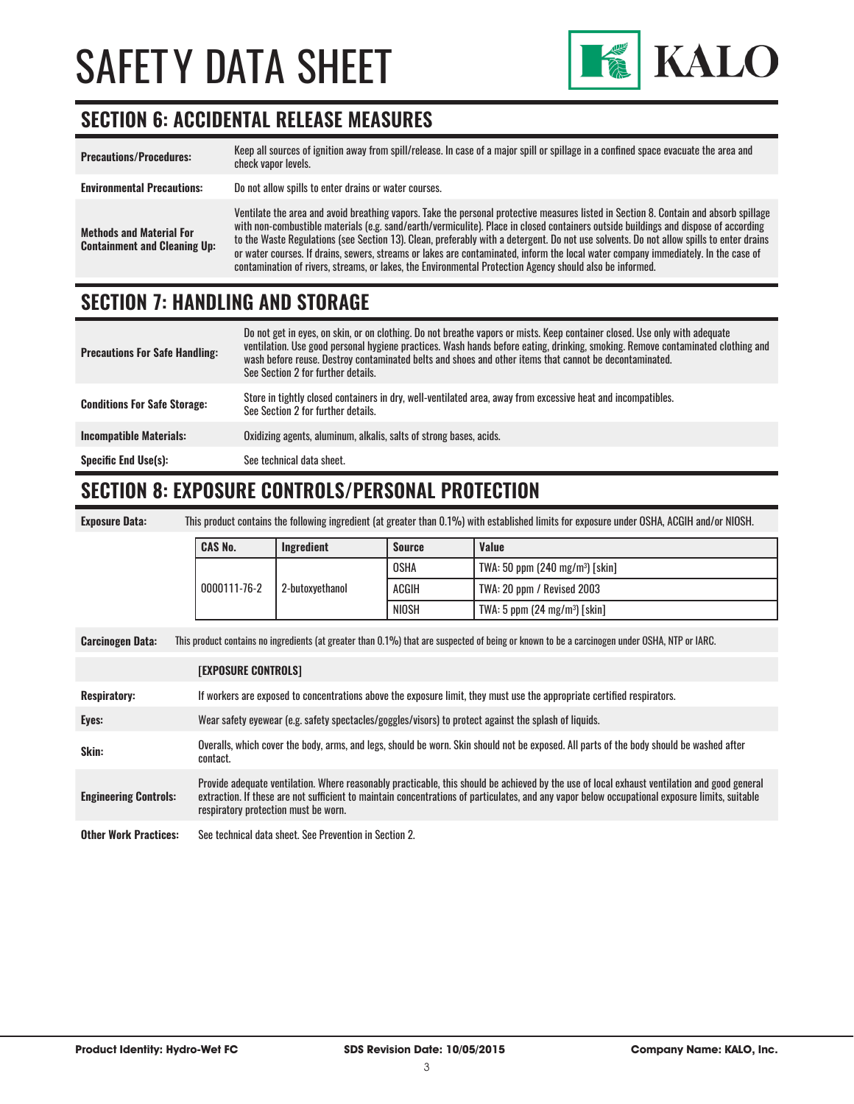

### **SECTION 6: ACCIDENTAL RELEASE MEASURES**

| <b>Precautions/Procedures:</b>                                         | Keep all sources of ignition away from spill/release. In case of a major spill or spillage in a confined space evacuate the area and<br>check vapor levels.                                                                                                                                                                                                                                                                                                                                                                                                                                                                                                               |
|------------------------------------------------------------------------|---------------------------------------------------------------------------------------------------------------------------------------------------------------------------------------------------------------------------------------------------------------------------------------------------------------------------------------------------------------------------------------------------------------------------------------------------------------------------------------------------------------------------------------------------------------------------------------------------------------------------------------------------------------------------|
| <b>Environmental Precautions:</b>                                      | Do not allow spills to enter drains or water courses.                                                                                                                                                                                                                                                                                                                                                                                                                                                                                                                                                                                                                     |
| <b>Methods and Material For</b><br><b>Containment and Cleaning Up:</b> | Ventilate the area and avoid breathing vapors. Take the personal protective measures listed in Section 8. Contain and absorb spillage<br>with non-combustible materials (e.g. sand/earth/vermiculite). Place in closed containers outside buildings and dispose of according<br>to the Waste Regulations (see Section 13). Clean, preferably with a detergent. Do not use solvents. Do not allow spills to enter drains<br>or water courses. If drains, sewers, streams or lakes are contaminated, inform the local water company immediately. In the case of<br>contamination of rivers, streams, or lakes, the Environmental Protection Agency should also be informed. |

### **SECTION 7: HANDLING AND STORAGE**

| <b>Precautions For Safe Handling:</b> | Do not get in eyes, on skin, or on clothing. Do not breathe vapors or mists. Keep container closed. Use only with adequate<br>ventilation. Use good personal hygiene practices. Wash hands before eating, drinking, smoking. Remove contaminated clothing and<br>wash before reuse. Destroy contaminated belts and shoes and other items that cannot be decontaminated.<br>See Section 2 for further details. |
|---------------------------------------|---------------------------------------------------------------------------------------------------------------------------------------------------------------------------------------------------------------------------------------------------------------------------------------------------------------------------------------------------------------------------------------------------------------|
| <b>Conditions For Safe Storage:</b>   | Store in tightly closed containers in dry, well-ventilated area, away from excessive heat and incompatibles.<br>See Section 2 for further details.                                                                                                                                                                                                                                                            |
| <b>Incompatible Materials:</b>        | Oxidizing agents, aluminum, alkalis, salts of strong bases, acids.                                                                                                                                                                                                                                                                                                                                            |
| <b>Specific End Use(s):</b>           | See technical data sheet.                                                                                                                                                                                                                                                                                                                                                                                     |

#### **SECTION 8: EXPOSURE CONTROLS/PERSONAL PROTECTION**

**Exposure Data:** This product contains the following ingredient (at greater than 0.1%) with established limits for exposure under OSHA, ACGIH and/or NIOSH.

|                                 |       | <b>OSHA</b>                             | TWA: 50 ppm $(240 \text{ mg/m}^3)$ [skin] |
|---------------------------------|-------|-----------------------------------------|-------------------------------------------|
| 0000111-76-2<br>2-butoxvethanol |       | <b>ACGIH</b>                            | TWA: 20 ppm / Revised 2003                |
|                                 | NIOSH | TWA: 5 ppm $(24 \text{ mg/m}^3)$ [skin] |                                           |

**Carcinogen Data:** This product contains no ingredients (at greater than 0.1%) that are suspected of being or known to be a carcinogen under OSHA, NTP or IARC.

|                              | <b>[EXPOSURE CONTROLS]</b>                                                                                                                                                                                                                                                                                                             |
|------------------------------|----------------------------------------------------------------------------------------------------------------------------------------------------------------------------------------------------------------------------------------------------------------------------------------------------------------------------------------|
| <b>Respiratory:</b>          | If workers are exposed to concentrations above the exposure limit, they must use the appropriate certified respirators.                                                                                                                                                                                                                |
| Eyes:                        | Wear safety eyewear (e.g. safety spectacles/goggles/visors) to protect against the splash of liquids.                                                                                                                                                                                                                                  |
| Skin:                        | Overalls, which cover the body, arms, and legs, should be worn. Skin should not be exposed. All parts of the body should be washed after<br>contact.                                                                                                                                                                                   |
| <b>Engineering Controls:</b> | Provide adequate ventilation. Where reasonably practicable, this should be achieved by the use of local exhaust ventilation and good general<br>extraction. If these are not sufficient to maintain concentrations of particulates, and any vapor below occupational exposure limits, suitable<br>respiratory protection must be worn. |
| <b>Other Work Practices:</b> | See technical data sheet. See Prevention in Section 2.                                                                                                                                                                                                                                                                                 |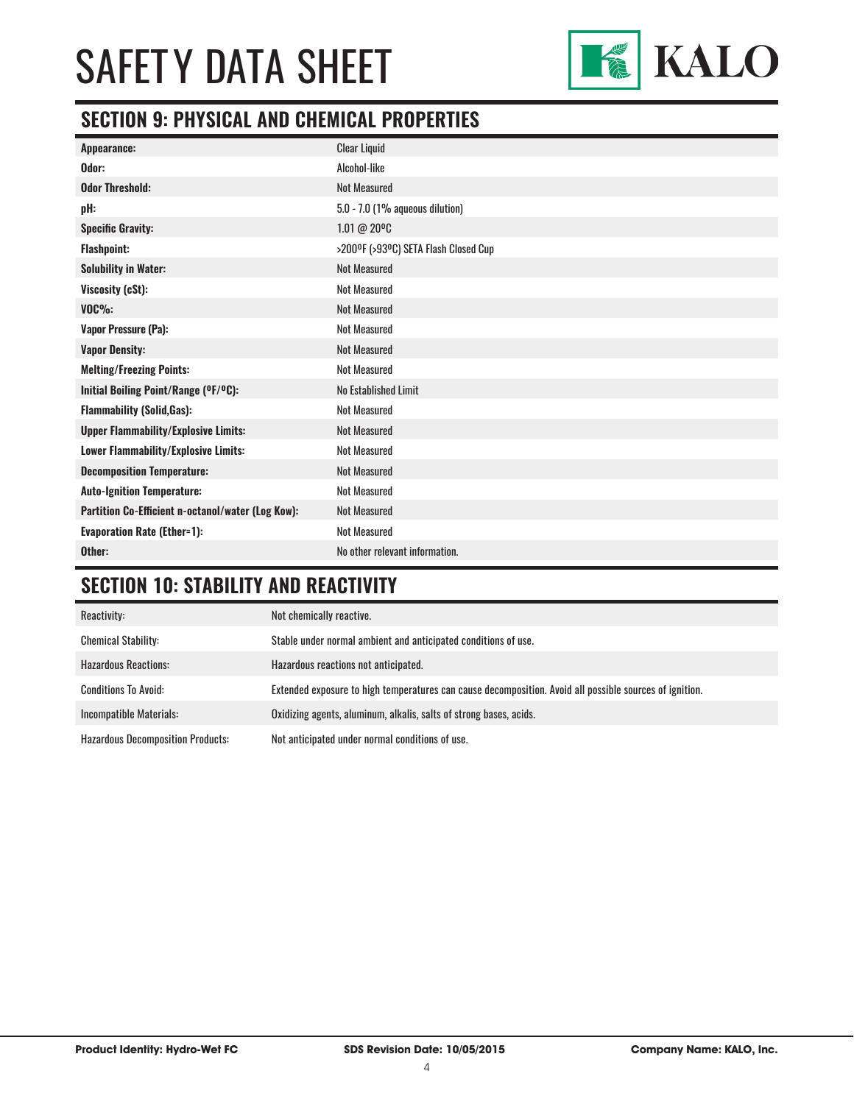

### **SECTION 9: PHYSICAL AND CHEMICAL PROPERTIES**

| Appearance:                                       | <b>Clear Liquid</b>                  |
|---------------------------------------------------|--------------------------------------|
| Odor:                                             | Alcohol-like                         |
| <b>Odor Threshold:</b>                            | <b>Not Measured</b>                  |
| pH:                                               | 5.0 - 7.0 (1% aqueous dilution)      |
| <b>Specific Gravity:</b>                          | 1.01 @ 20°C                          |
| <b>Flashpoint:</b>                                | >200°F (>93°C) SETA Flash Closed Cup |
| <b>Solubility in Water:</b>                       | <b>Not Measured</b>                  |
| Viscosity (cSt):                                  | <b>Not Measured</b>                  |
| $VOC\%$ :                                         | <b>Not Measured</b>                  |
| <b>Vapor Pressure (Pa):</b>                       | <b>Not Measured</b>                  |
| <b>Vapor Density:</b>                             | <b>Not Measured</b>                  |
| <b>Melting/Freezing Points:</b>                   | <b>Not Measured</b>                  |
| Initial Boiling Point/Range (OF/OC):              | No Established Limit                 |
| <b>Flammability (Solid, Gas):</b>                 | <b>Not Measured</b>                  |
| <b>Upper Flammability/Explosive Limits:</b>       | <b>Not Measured</b>                  |
| Lower Flammability/Explosive Limits:              | <b>Not Measured</b>                  |
| <b>Decomposition Temperature:</b>                 | <b>Not Measured</b>                  |
| <b>Auto-Ignition Temperature:</b>                 | <b>Not Measured</b>                  |
| Partition Co-Efficient n-octanol/water (Log Kow): | <b>Not Measured</b>                  |
| <b>Evaporation Rate (Ether=1):</b>                | <b>Not Measured</b>                  |
| Other:                                            | No other relevant information.       |

### **SECTION 10: STABILITY AND REACTIVITY**

| Reactivity:                              | Not chemically reactive.                                                                                |
|------------------------------------------|---------------------------------------------------------------------------------------------------------|
| <b>Chemical Stability:</b>               | Stable under normal ambient and anticipated conditions of use.                                          |
| <b>Hazardous Reactions:</b>              | Hazardous reactions not anticipated.                                                                    |
| <b>Conditions To Avoid:</b>              | Extended exposure to high temperatures can cause decomposition. Avoid all possible sources of ignition. |
| Incompatible Materials:                  | Oxidizing agents, aluminum, alkalis, salts of strong bases, acids.                                      |
| <b>Hazardous Decomposition Products:</b> | Not anticipated under normal conditions of use.                                                         |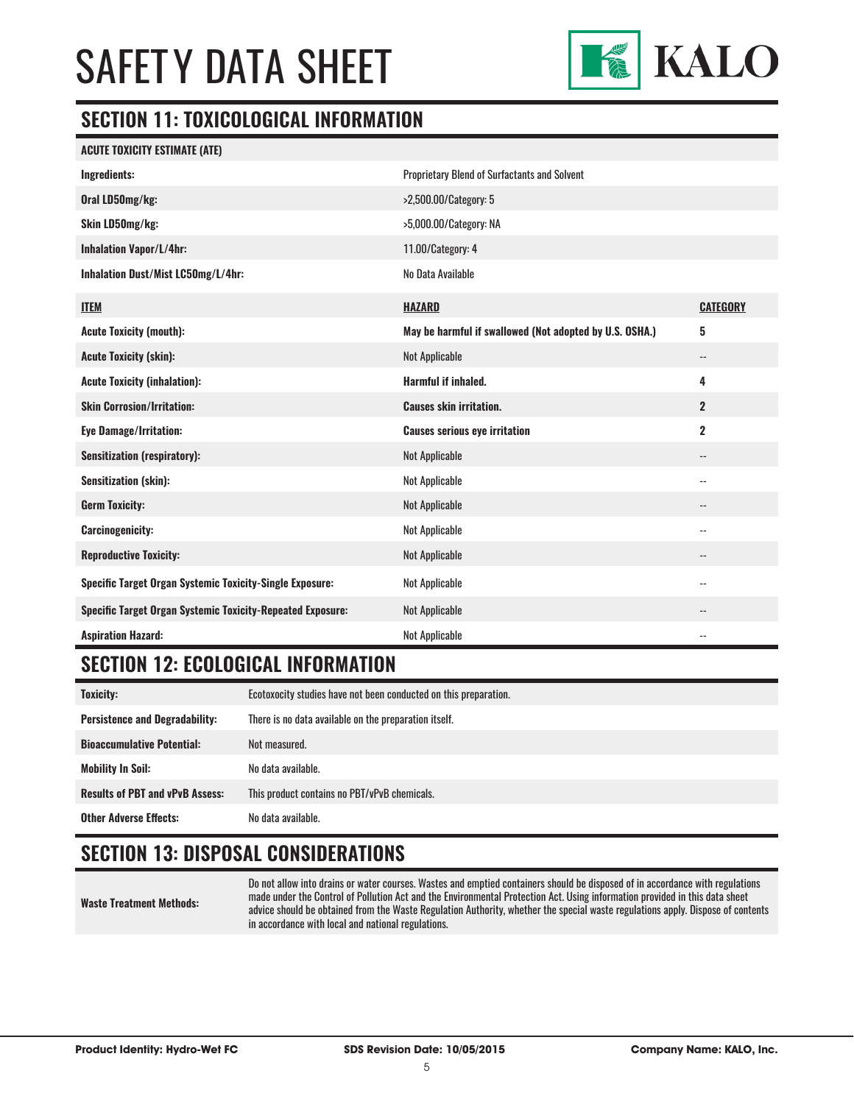

#### **SECTION 11: TOXICOLOGICAL INFORMATION**

| <b>ACUTE TOXICITY ESTIMATE (ATE)</b>                              |                                                         |                            |
|-------------------------------------------------------------------|---------------------------------------------------------|----------------------------|
| Ingredients:                                                      | <b>Proprietary Blend of Surfactants and Solvent</b>     |                            |
| Oral LD50mg/kg:                                                   | >2,500.00/Category: 5                                   |                            |
| Skin LD50mg/kg:                                                   | >5,000.00/Category: NA                                  |                            |
| <b>Inhalation Vapor/L/4hr:</b>                                    | 11.00/Category: 4                                       |                            |
| Inhalation Dust/Mist LC50mg/L/4hr:                                | No Data Available                                       |                            |
| <b>ITEM</b>                                                       | <b>HAZARD</b>                                           | <b>CATEGORY</b>            |
| <b>Acute Toxicity (mouth):</b>                                    | May be harmful if swallowed (Not adopted by U.S. OSHA.) | 5                          |
| <b>Acute Toxicity (skin):</b>                                     | <b>Not Applicable</b>                                   | $\overline{\phantom{a}}$   |
| <b>Acute Toxicity (inhalation):</b>                               | Harmful if inhaled.                                     | 4                          |
| <b>Skin Corrosion/Irritation:</b>                                 | <b>Causes skin irritation.</b>                          | $\overline{2}$             |
| <b>Eye Damage/Irritation:</b>                                     | <b>Causes serious eye irritation</b>                    | 2                          |
| <b>Sensitization (respiratory):</b>                               | <b>Not Applicable</b>                                   | --                         |
| <b>Sensitization (skin):</b>                                      | <b>Not Applicable</b>                                   | --                         |
| <b>Germ Toxicity:</b>                                             | <b>Not Applicable</b>                                   | --                         |
| <b>Carcinogenicity:</b>                                           | <b>Not Applicable</b>                                   | $\overline{\phantom{a}}$   |
| <b>Reproductive Toxicity:</b>                                     | <b>Not Applicable</b>                                   | --                         |
| <b>Specific Target Organ Systemic Toxicity-Single Exposure:</b>   | <b>Not Applicable</b>                                   | $\overline{\phantom{a}}$ . |
| <b>Specific Target Organ Systemic Toxicity-Repeated Exposure:</b> | <b>Not Applicable</b>                                   | --                         |
| <b>Aspiration Hazard:</b>                                         | <b>Not Applicable</b>                                   | --                         |

### **SECTION 12: ECOLOGICAL INFORMATION**

| <b>Toxicity:</b>                       | Ecotoxocity studies have not been conducted on this preparation. |
|----------------------------------------|------------------------------------------------------------------|
| <b>Persistence and Degradability:</b>  | There is no data available on the preparation itself.            |
| <b>Bioaccumulative Potential:</b>      | Not measured.                                                    |
| <b>Mobility In Soil:</b>               | No data available.                                               |
| <b>Results of PBT and vPvB Assess:</b> | This product contains no PBT/vPvB chemicals.                     |
| <b>Other Adverse Effects:</b>          | No data available.                                               |

### **SECTION 13: DISPOSAL CONSIDERATIONS**

**Waste Treatment Methods:** Do not allow into drains or water courses. Wastes and emptied containers should be disposed of in accordance with regulations made under the Control of Pollution Act and the Environmental Protection Act. Using information provided in this data sheet advice should be obtained from the Waste Regulation Authority, whether the special waste regulations apply. Dispose of contents in accordance with local and national regulations.